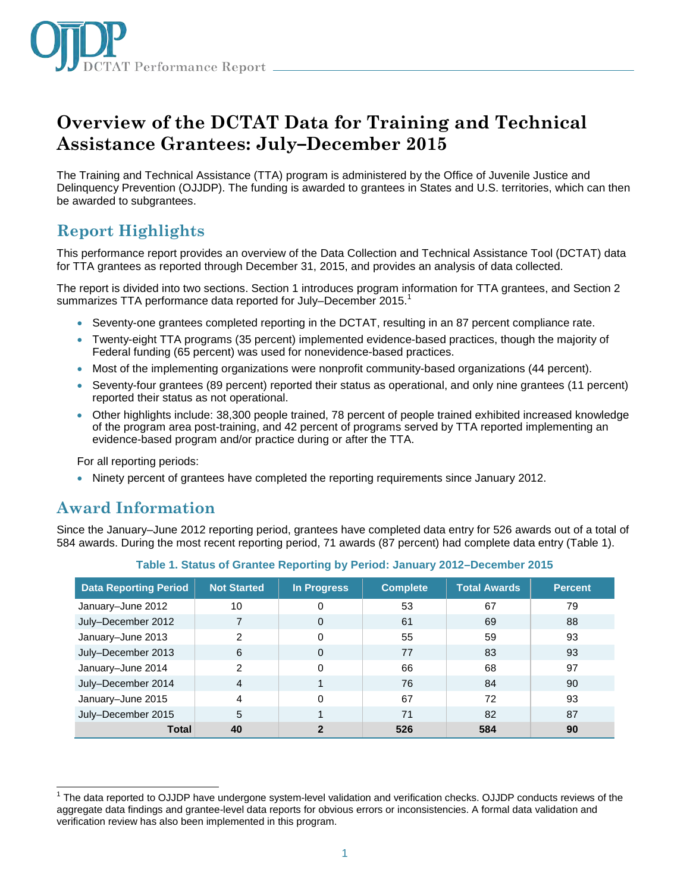

# **Overview of the DCTAT Data for Training and Technical Assistance Grantees: July–December 2015**

The Training and Technical Assistance (TTA) program is administered by the Office of Juvenile Justice and Delinquency Prevention (OJJDP). The funding is awarded to grantees in States and U.S. territories, which can then be awarded to subgrantees.

# **Report Highlights**

This performance report provides an overview of the Data Collection and Technical Assistance Tool (DCTAT) data for TTA grantees as reported through December 31, 2015, and provides an analysis of data collected.

The report is divided into two sections. Section 1 introduces program information for TTA grantees, and Section 2 summarizes TTA performance data reported for July–December 2015.<sup>1</sup>

- Seventy-one grantees completed reporting in the DCTAT, resulting in an 87 percent compliance rate.
- Twenty-eight TTA programs (35 percent) implemented evidence-based practices, though the majority of Federal funding (65 percent) was used for nonevidence-based practices.
- Most of the implementing organizations were nonprofit community-based organizations (44 percent).
- Seventy-four grantees (89 percent) reported their status as operational, and only nine grantees (11 percent) reported their status as not operational.
- Other highlights include: 38,300 people trained, 78 percent of people trained exhibited increased knowledge of the program area post-training, and 42 percent of programs served by TTA reported implementing an evidence-based program and/or practice during or after the TTA.

For all reporting periods:

• Ninety percent of grantees have completed the reporting requirements since January 2012.

## **Award Information**

Since the January–June 2012 reporting period, grantees have completed data entry for 526 awards out of a total of 584 awards. During the most recent reporting period, 71 awards (87 percent) had complete data entry (Table 1).

| <b>Data Reporting Period</b> | <b>Not Started</b> | In Progress    | <b>Complete</b> | <b>Total Awards</b> | <b>Percent</b> |
|------------------------------|--------------------|----------------|-----------------|---------------------|----------------|
| January-June 2012            | 10                 | 0              | 53              | 67                  | 79             |
| July-December 2012           |                    | 0              | 61              | 69                  | 88             |
| January-June 2013            | 2                  | 0              | 55              | 59                  | 93             |
| July-December 2013           | 6                  | 0              | 77              | 83                  | 93             |
| January-June 2014            | 2                  | 0              | 66              | 68                  | 97             |
| July-December 2014           | 4                  |                | 76              | 84                  | 90             |
| January-June 2015            | 4                  | 0              | 67              | 72                  | 93             |
| July-December 2015           | 5                  |                | 71              | 82                  | 87             |
| <b>Total</b>                 | 40                 | $\overline{2}$ | 526             | 584                 | 90             |

**Table 1. Status of Grantee Reporting by Period: January 2012–December 2015**

j <sup>1</sup> The data reported to OJJDP have undergone system-level validation and verification checks. OJJDP conducts reviews of the aggregate data findings and grantee-level data reports for obvious errors or inconsistencies. A formal data validation and verification review has also been implemented in this program.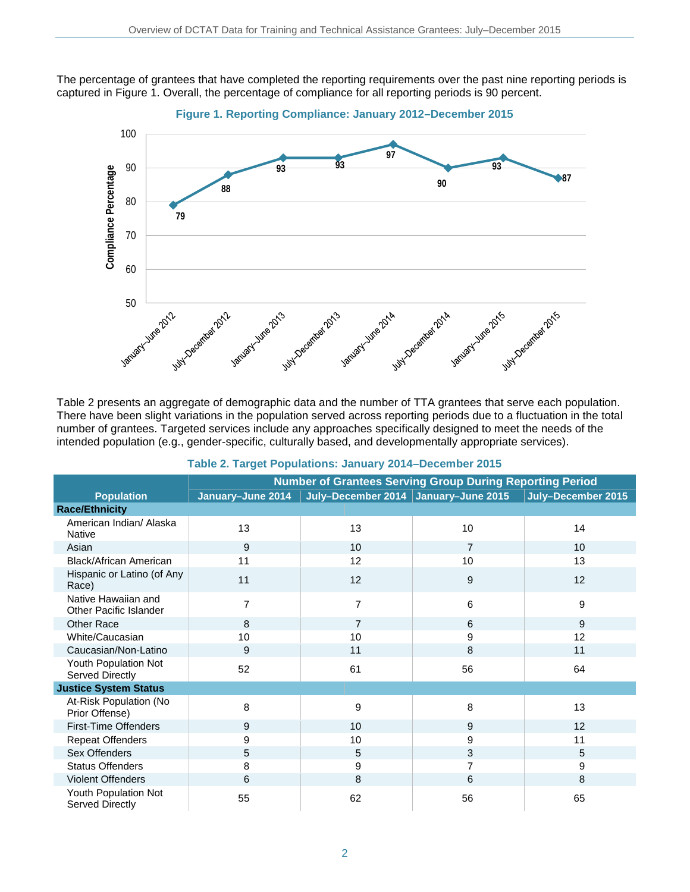The percentage of grantees that have completed the reporting requirements over the past nine reporting periods is captured in Figure 1. Overall, the percentage of compliance for all reporting periods is 90 percent.



Table 2 presents an aggregate of demographic data and the number of TTA grantees that serve each population. There have been slight variations in the population served across reporting periods due to a fluctuation in the total number of grantees. Targeted services include any approaches specifically designed to meet the needs of the intended population (e.g., gender-specific, culturally based, and developmentally appropriate services).

|                                                      | <b>Number of Grantees Serving Group During Reporting Period</b> |                                        |                |                    |  |
|------------------------------------------------------|-----------------------------------------------------------------|----------------------------------------|----------------|--------------------|--|
| <b>Population</b>                                    | January-June 2014                                               | July-December 2014   January-June 2015 |                | July-December 2015 |  |
| <b>Race/Ethnicity</b>                                |                                                                 |                                        |                |                    |  |
| American Indian/ Alaska<br><b>Native</b>             | 13                                                              | 13                                     | 10             | 14                 |  |
| Asian                                                | 9                                                               | 10                                     | $\overline{7}$ | 10                 |  |
| Black/African American                               | 11                                                              | 12                                     | 10             | 13                 |  |
| Hispanic or Latino (of Any<br>Race)                  | 11                                                              | 12                                     | 9              | 12                 |  |
| Native Hawaiian and<br><b>Other Pacific Islander</b> | $\overline{7}$                                                  | $\overline{7}$                         | 6              | 9                  |  |
| <b>Other Race</b>                                    | 8                                                               | $\overline{7}$                         | 6              | 9                  |  |
| White/Caucasian                                      | 10                                                              | 10                                     | 9              | 12                 |  |
| Caucasian/Non-Latino                                 | 9                                                               | 11                                     | 8              | 11                 |  |
| Youth Population Not<br>Served Directly              | 52                                                              | 61                                     | 56             | 64                 |  |
| <b>Justice System Status</b>                         |                                                                 |                                        |                |                    |  |
| At-Risk Population (No<br>Prior Offense)             | 8                                                               | 9                                      | 8              | 13                 |  |
| <b>First-Time Offenders</b>                          | 9                                                               | 10 <sup>1</sup>                        | 9              | 12                 |  |
| <b>Repeat Offenders</b>                              | 9                                                               | 10                                     | 9              | 11                 |  |
| Sex Offenders                                        | 5                                                               | 5                                      | 3              | 5                  |  |
| <b>Status Offenders</b>                              | 8                                                               | 9                                      |                | 9                  |  |
| Violent Offenders                                    | 6                                                               | 8                                      | 6              | 8                  |  |
| Youth Population Not<br>Served Directly              | 55                                                              | 62                                     | 56             | 65                 |  |

#### **Table 2. Target Populations: January 2014–December 2015**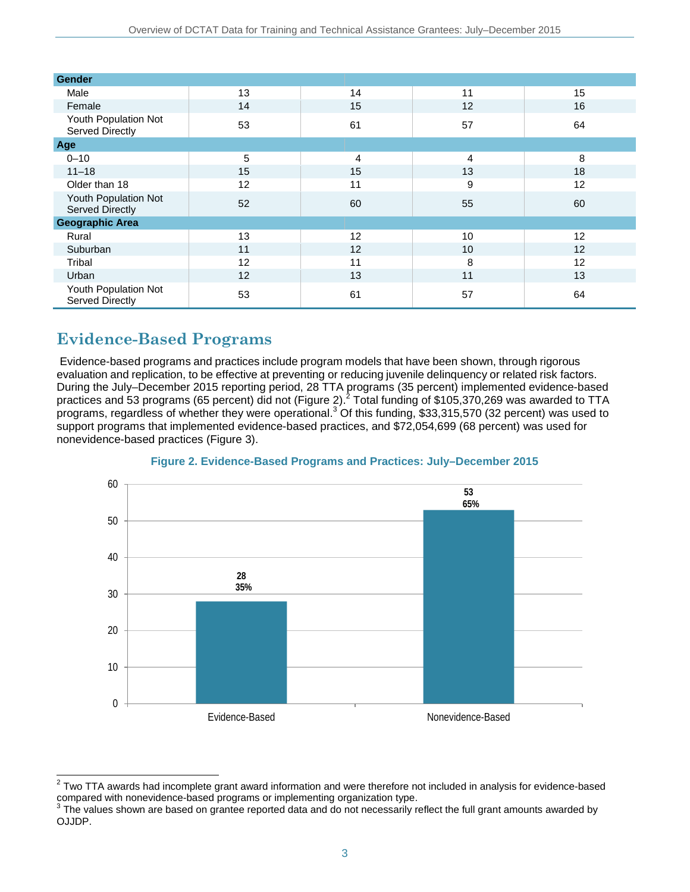| Gender                                  |    |    |                 |    |
|-----------------------------------------|----|----|-----------------|----|
| Male                                    | 13 | 14 | 11              | 15 |
| Female                                  | 14 | 15 | 12              | 16 |
| Youth Population Not<br>Served Directly | 53 | 61 | 57              | 64 |
| Age                                     |    |    |                 |    |
| $0 - 10$                                | 5  | 4  | 4               | 8  |
| $11 - 18$                               | 15 | 15 | 13              | 18 |
| Older than 18                           | 12 | 11 | 9               | 12 |
| Youth Population Not<br>Served Directly | 52 | 60 | 55              | 60 |
| <b>Geographic Area</b>                  |    |    |                 |    |
| Rural                                   | 13 | 12 | 10              | 12 |
| Suburban                                | 11 | 12 | 10 <sup>1</sup> | 12 |
| Tribal                                  | 12 | 11 | 8               | 12 |
| Urban                                   | 12 | 13 | 11              | 13 |
| Youth Population Not<br>Served Directly | 53 | 61 | 57              | 64 |

# **Evidence-Based Programs**

 $\overline{a}$ 

Evidence-based programs and practices include program models that have been shown, through rigorous evaluation and replication, to be effective at preventing or reducing juvenile delinquency or related risk factors. During the July–December 2015 reporting period, 28 TTA programs (35 percent) implemented evidence-based practices and 53 programs (65 percent) did not (Figure 2). $^2$  Total funding of \$105,370,269 was awarded to TTA programs, regardless of whether they were operational.<sup>3</sup> Of this funding, \$33,315,570 (32 percent) was used to support programs that implemented evidence-based practices, and \$72,054,699 (68 percent) was used for nonevidence-based practices (Figure 3).



### **Figure 2. Evidence-Based Programs and Practices: July–December 2015**

 $2$  Two TTA awards had incomplete grant award information and were therefore not included in analysis for evidence-based compared with nonevidence-based programs or implementing organization type.<br> $3$  The values shown are based on grantee reported data and do not necessarily reflect the full grant amounts awarded by

OJJDP.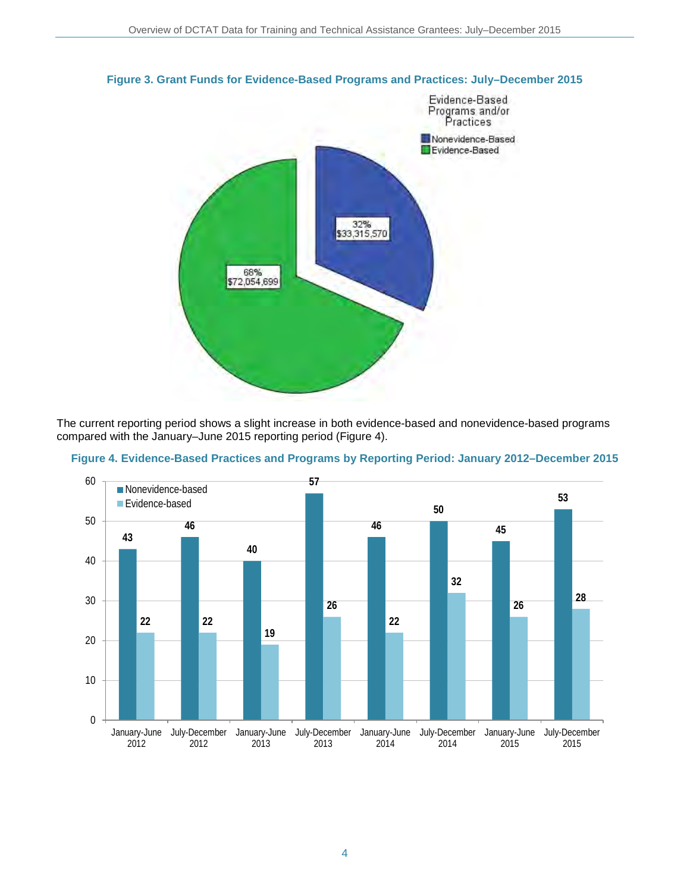

#### **Figure 3. Grant Funds for Evidence-Based Programs and Practices: July–December 2015**

The current reporting period shows a slight increase in both evidence-based and nonevidence-based programs compared with the January–June 2015 reporting period (Figure 4).



**Figure 4. Evidence-Based Practices and Programs by Reporting Period: January 2012–December 2015**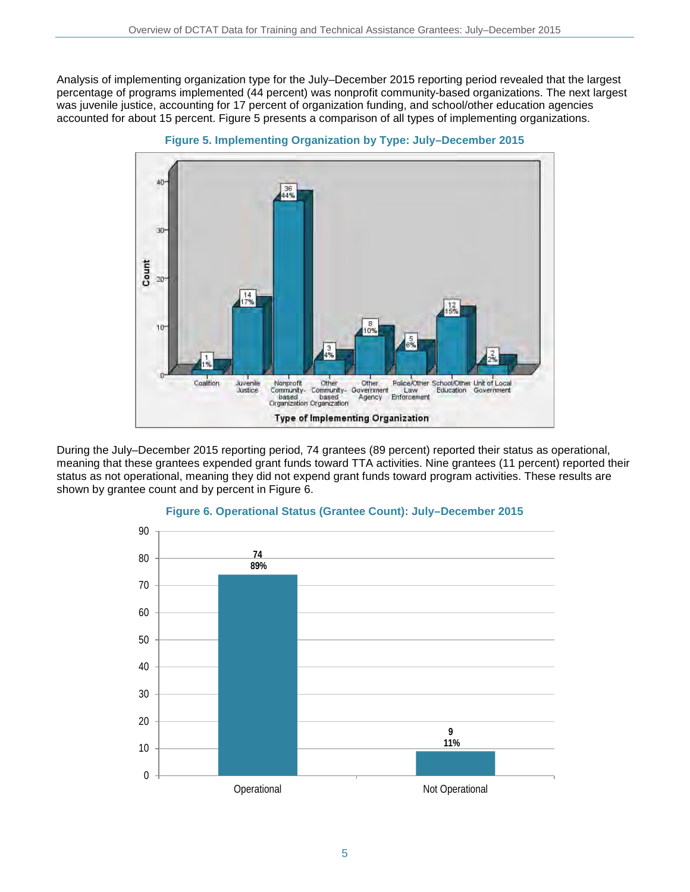Analysis of implementing organization type for the July–December 2015 reporting period revealed that the largest percentage of programs implemented (44 percent) was nonprofit community-based organizations. The next largest was juvenile justice, accounting for 17 percent of organization funding, and school/other education agencies accounted for about 15 percent. Figure 5 presents a comparison of all types of implementing organizations.



**Figure 5. Implementing Organization by Type: July–December 2015** 

During the July–December 2015 reporting period, 74 grantees (89 percent) reported their status as operational, meaning that these grantees expended grant funds toward TTA activities. Nine grantees (11 percent) reported their status as not operational, meaning they did not expend grant funds toward program activities. These results are shown by grantee count and by percent in Figure 6.



### **Figure 6. Operational Status (Grantee Count): July–December 2015**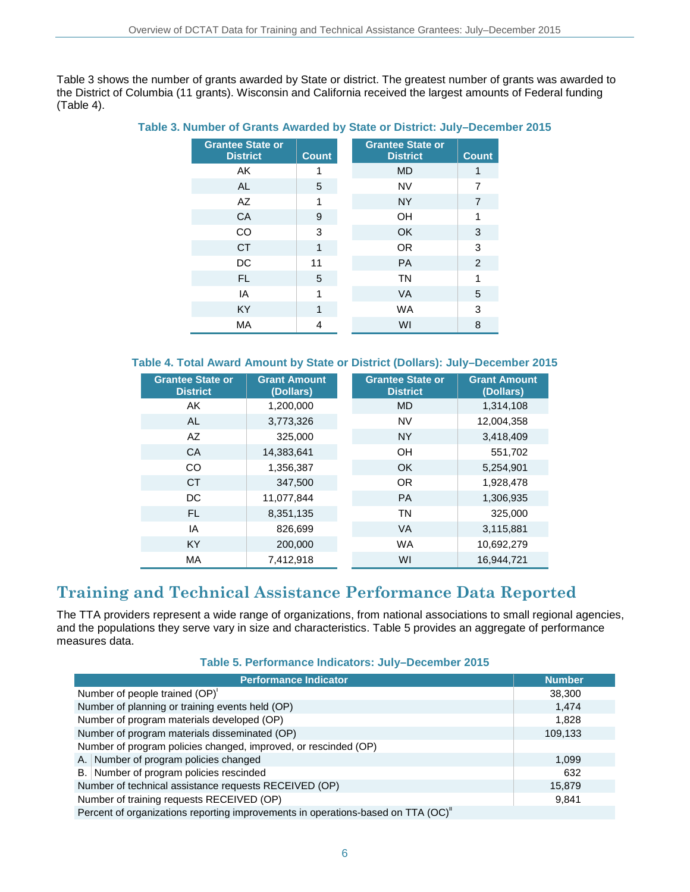Table 3 shows the number of grants awarded by State or district. The greatest number of grants was awarded to the District of Columbia (11 grants). Wisconsin and California received the largest amounts of Federal funding (Table 4).

**Table 3. Number of Grants Awarded by State or District: July–December 2015**

| <b>Grantee State or</b><br><b>District</b> | <b>Count</b> | <b>Grantee State or</b><br><b>District</b><br><b>Count</b> |
|--------------------------------------------|--------------|------------------------------------------------------------|
| AK                                         |              | <b>MD</b>                                                  |
| <b>AL</b>                                  | 5            | <b>NV</b><br>7                                             |
| AZ                                         | 1            | <b>NY</b><br>7                                             |
| <b>CA</b>                                  | 9            | OH                                                         |
| CO                                         | 3            | OK<br>3                                                    |
| <b>CT</b>                                  | 1            | <b>OR</b><br>3                                             |
| <b>DC</b>                                  | 11           | 2<br><b>PA</b>                                             |
| FL.                                        | 5            | <b>TN</b>                                                  |
| IA                                         | 1            | 5<br><b>VA</b>                                             |
| <b>KY</b>                                  | 1            | 3<br><b>WA</b>                                             |
| <b>MA</b>                                  | 4            | WI<br>8                                                    |

### **Table 4. Total Award Amount by State or District (Dollars): July–December 2015**

| <b>Grantee State or</b><br><b>District</b> | <b>Grant Amount</b><br>(Dollars) | <b>Grantee State or</b><br><b>District</b> | <b>Grant Amount</b><br>(Dollars) |
|--------------------------------------------|----------------------------------|--------------------------------------------|----------------------------------|
| AK                                         | 1,200,000                        | <b>MD</b>                                  | 1,314,108                        |
| <b>AL</b>                                  | 3,773,326                        | <b>NV</b>                                  | 12,004,358                       |
| AZ                                         | 325,000                          | <b>NY</b>                                  | 3,418,409                        |
| CA                                         | 14,383,641                       | OH                                         | 551,702                          |
| CO                                         | 1,356,387                        | OK                                         | 5,254,901                        |
| <b>CT</b>                                  | 347.500                          | <b>OR</b>                                  | 1,928,478                        |
| DC                                         | 11.077.844                       | <b>PA</b>                                  | 1,306,935                        |
| <b>FL</b>                                  | 8,351,135                        | <b>TN</b>                                  | 325,000                          |
| ΙA                                         | 826,699                          | <b>VA</b>                                  | 3,115,881                        |
| KY                                         | 200,000                          | <b>WA</b>                                  | 10,692,279                       |
| МA                                         | 7,412,918                        | WI                                         | 16,944,721                       |

## **Training and Technical Assistance Performance Data Reported**

The TTA providers represent a wide range of organizations, from national associations to small regional agencies, and the populations they serve vary in size and characteristics. Table 5 provides an aggregate of performance measures data.

| Table 5. Performance Indicators: July-December 2015 |  |  |
|-----------------------------------------------------|--|--|
|-----------------------------------------------------|--|--|

| <b>Performance Indicator</b>                                                     | <b>Number</b> |  |
|----------------------------------------------------------------------------------|---------------|--|
| Number of people trained (OP)'                                                   | 38,300        |  |
| Number of planning or training events held (OP)                                  | 1,474         |  |
| Number of program materials developed (OP)                                       | 1,828         |  |
| Number of program materials disseminated (OP)                                    | 109,133       |  |
| Number of program policies changed, improved, or rescinded (OP)                  |               |  |
| A. Number of program policies changed                                            | 1,099         |  |
| B. Number of program policies rescinded                                          | 632           |  |
| Number of technical assistance requests RECEIVED (OP)                            | 15,879        |  |
| Number of training requests RECEIVED (OP)                                        | 9,841         |  |
| Percent of organizations reporting improvements in operations-based on TTA (OC)" |               |  |